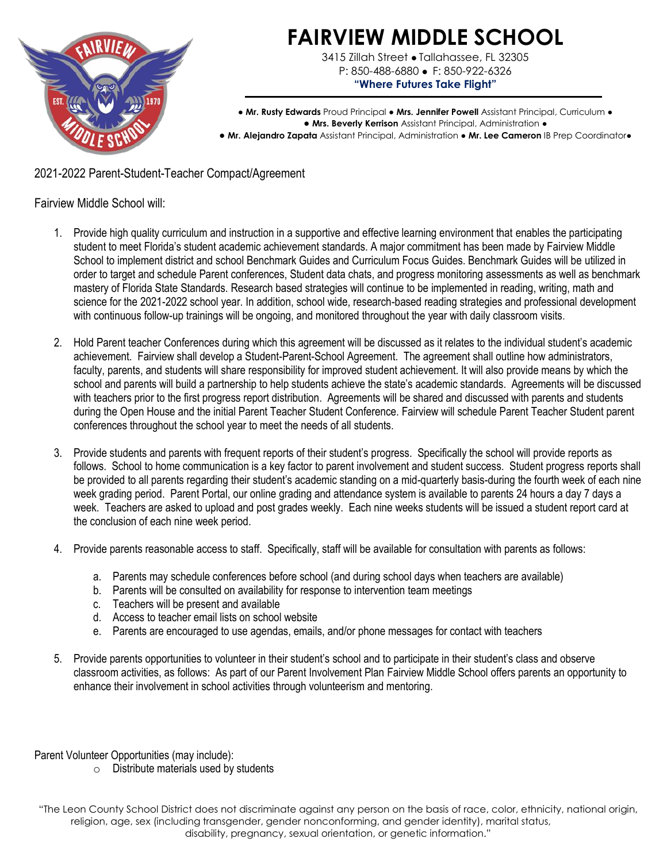

**FAIRVIEW MIDDLE SCHOOL**

3415 Zillah Street • Tallahassee, FL 32305 P: 850-488-6880 • F: 850-922-6326 **"Where Futures Take Flight"**

● **Mr. Rusty Edwards** Proud Principal ● **Mrs. Jennifer Powell** Assistant Principal, Curriculum ● ● **Mrs. Beverly Kerrison** Assistant Principal, Administration ● ● Mr. Alejandro Zapata Assistant Principal, Administration ● Mr. Lee Cameron IB Prep Coordinator●

2021-2022 Parent-Student-Teacher Compact/Agreement

Fairview Middle School will:

- 1. Provide high quality curriculum and instruction in a supportive and effective learning environment that enables the participating student to meet Florida's student academic achievement standards. A major commitment has been made by Fairview Middle School to implement district and school Benchmark Guides and Curriculum Focus Guides. Benchmark Guides will be utilized in order to target and schedule Parent conferences, Student data chats, and progress monitoring assessments as well as benchmark mastery of Florida State Standards. Research based strategies will continue to be implemented in reading, writing, math and science for the 2021-2022 school year. In addition, school wide, research-based reading strategies and professional development with continuous follow-up trainings will be ongoing, and monitored throughout the year with daily classroom visits.
- 2. Hold Parent teacher Conferences during which this agreement will be discussed as it relates to the individual student's academic achievement. Fairview shall develop a Student-Parent-School Agreement. The agreement shall outline how administrators, faculty, parents, and students will share responsibility for improved student achievement. It will also provide means by which the school and parents will build a partnership to help students achieve the state's academic standards. Agreements will be discussed with teachers prior to the first progress report distribution. Agreements will be shared and discussed with parents and students during the Open House and the initial Parent Teacher Student Conference. Fairview will schedule Parent Teacher Student parent conferences throughout the school year to meet the needs of all students.
- 3. Provide students and parents with frequent reports of their student's progress. Specifically the school will provide reports as follows. School to home communication is a key factor to parent involvement and student success. Student progress reports shall be provided to all parents regarding their student's academic standing on a mid-quarterly basis-during the fourth week of each nine week grading period. Parent Portal, our online grading and attendance system is available to parents 24 hours a day 7 days a week. Teachers are asked to upload and post grades weekly. Each nine weeks students will be issued a student report card at the conclusion of each nine week period.
- 4. Provide parents reasonable access to staff. Specifically, staff will be available for consultation with parents as follows:
	- a. Parents may schedule conferences before school (and during school days when teachers are available)
	- b. Parents will be consulted on availability for response to intervention team meetings
	- c. Teachers will be present and available
	- d. Access to teacher email lists on school website
	- e. Parents are encouraged to use agendas, emails, and/or phone messages for contact with teachers
- 5. Provide parents opportunities to volunteer in their student's school and to participate in their student's class and observe classroom activities, as follows: As part of our Parent Involvement Plan Fairview Middle School offers parents an opportunity to enhance their involvement in school activities through volunteerism and mentoring.

Parent Volunteer Opportunities (may include):

o Distribute materials used by students

"The Leon County School District does not discriminate against any person on the basis of race, color, ethnicity, national origin, religion, age, sex (including transgender, gender nonconforming, and gender identity), marital status, disability, pregnancy, sexual orientation, or genetic information."